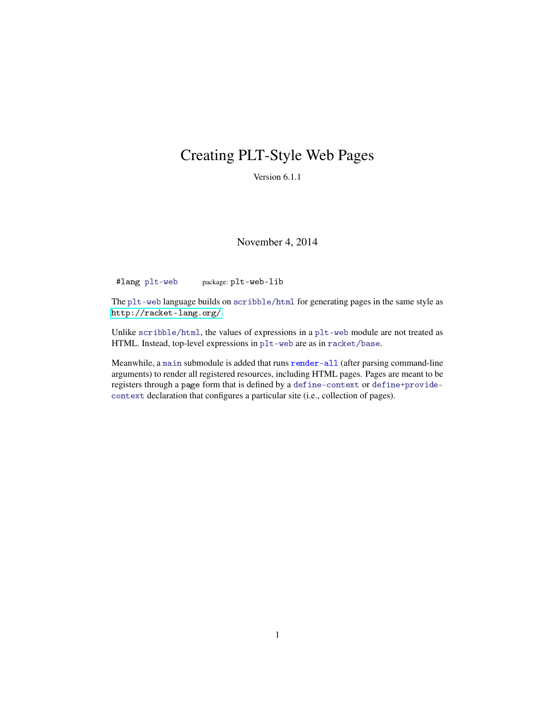# Creating PLT-Style Web Pages

Version 6.1.1

November 4, 2014

#lang plt-web package: plt-web-lib

The plt-web language builds on scribble/html for generating pages in the same style as <http://racket-lang.org/>.

Unlike scribble/html, the values of expressions in a plt-web module are not treated as HTML. Instead, top-level expressions in plt-web are as in racket/base.

Meanwhile, a main submodule is added that runs render-all (after parsing command-line arguments) to render all registered resources, including HTML pages. Pages are meant to be registers through a page form that is defined by a define-context or define+providecontext declaration that configures a particular site (i.e., collection of pages).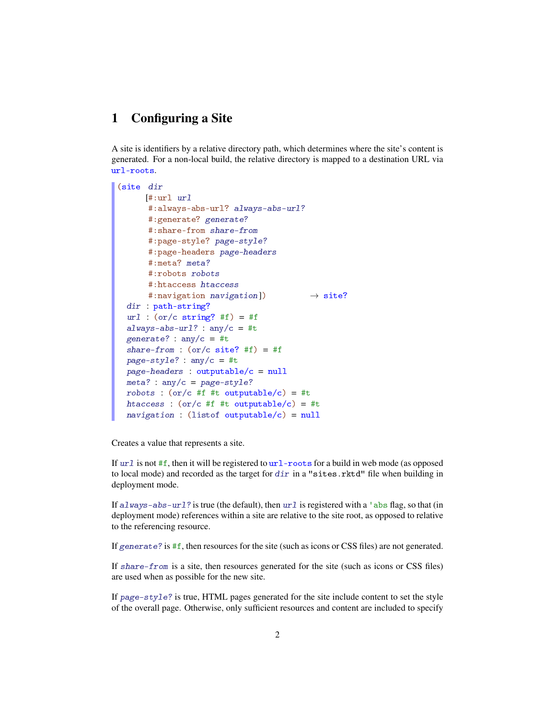#### 1 Configuring a Site

A site is identifiers by a relative directory path, which determines where the site's content is generated. For a non-local build, the relative directory is mapped to a destination URL via url-roots.

```
(site dir
     [#:url url
      #:always-abs-url? always-abs-url?
      #:generate? generate?
      #:share-from share-from
      #:page-style? page-style?
      #:page-headers page-headers
      #:meta? meta?
      #:robots robots
      #:htaccess htaccess
      #:navigation navigation]) \rightarrow site?
  dir : path-string?
 url: (or/c string? #f) = #falways-abs-url? : any/c = #t
 generate? : any/c = #t
 share-from : (or/c \text{ site? } #f) = #fpage-style?: any/c = #t
 page - headers: outputable/c = null
 meta? : any/c = page-style?robots : (or/c #f #t outputable/c) = #t
 htaccess : (or/c #f #t outputable/c) = #t
 \textit{navigation} : (listof outputable/c) = null
```
Creates a value that represents a site.

If  $url$  is not #f, then it will be registered to  $url$ -roots for a build in web mode (as opposed to local mode) and recorded as the target for dir in a "sites.rktd" file when building in deployment mode.

If always-abs-url? is true (the default), then  $url$  is registered with a 'abs flag, so that (in deployment mode) references within a site are relative to the site root, as opposed to relative to the referencing resource.

If generate? is  $#f$ , then resources for the site (such as icons or CSS files) are not generated.

If share-from is a site, then resources generated for the site (such as icons or CSS files) are used when as possible for the new site.

If page-style? is true, HTML pages generated for the site include content to set the style of the overall page. Otherwise, only sufficient resources and content are included to specify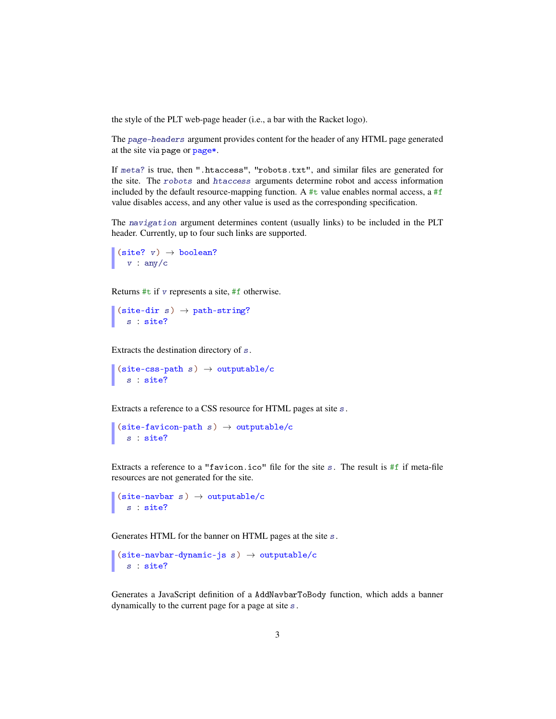the style of the PLT web-page header (i.e., a bar with the Racket logo).

The page-headers argument provides content for the header of any HTML page generated at the site via page or page\*.

If meta? is true, then ".htaccess", "robots.txt", and similar files are generated for the site. The robots and htaccess arguments determine robot and access information included by the default resource-mapping function. A  $#t$  value enables normal access, a  $#f$ value disables access, and any other value is used as the corresponding specification.

The navigation argument determines content (usually links) to be included in the PLT header. Currently, up to four such links are supported.

```
(site? v) \rightarrow boolean?v : any/c
```
Returns #t if v represents a site, #f otherwise.

(site-dir s)  $\rightarrow$  path-string? s : site?

Extracts the destination directory of s.

```
(site-css-path s) \rightarrow outputable/cs : site?
```
Extracts a reference to a CSS resource for HTML pages at site s.

```
(site-favicon-path s) \rightarrow outputable/c
   s : site?
```
Extracts a reference to a "favicon.ico" file for the site s. The result is #f if meta-file resources are not generated for the site.

```
(site-navbar s) \rightarrow outputable/cs : site?
```
Generates HTML for the banner on HTML pages at the site s.

```
(site-navbar-dynamic-js s) \rightarrow outputable/cs : site?
```
Generates a JavaScript definition of a AddNavbarToBody function, which adds a banner dynamically to the current page for a page at site s.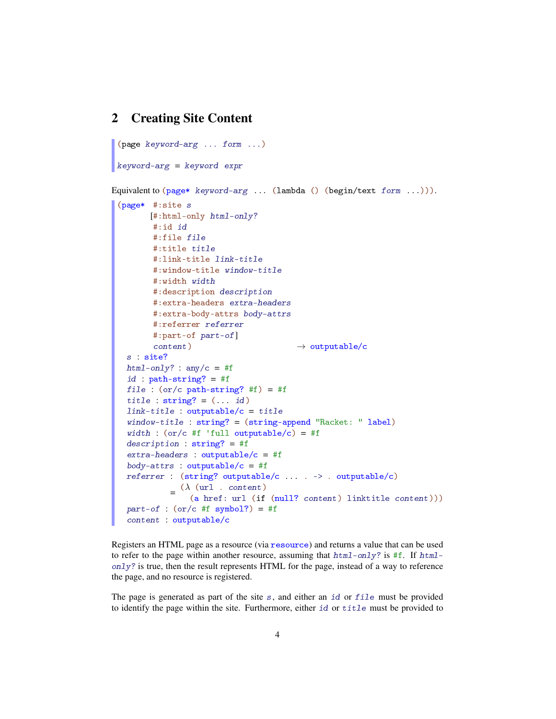#### 2 Creating Site Content

```
(page keyword-arg ... form ...)
keyword-arg = keyword expr
Equivalent to (\text{page*}~keyword-arg . . . . (lambda ()~(begintext{text} ~form . . . . ))).(page* #:site s
        [#:html-only html-only?
        #:id id
        #:file file
         #:title title
         #:link-title link-title
        #:window-title window-title
         #:width width
         #:description description
         #:extra-headers extra-headers
         #:extra-body-attrs body-attrs
         #:referrer referrer
         #:part-of part-of]
         content) \rightarrow outputable/c
   s : site?
  html-only? : any/c = #f
   id : path-string? = #f
   file : (or/c path-string? #f) = #f
   title : string? = (... id)link-title : outputable/c = title
   window-title : string? = (string-append "Racket: " label)
   width : (or/c #f 'full outputable/c) = #f
   description : string? = #f
   extra-headers : outputable/c = #fbody-attrs : outputable/c = #freferrer : (string? outputable/c ... . -> . outputable/c)
             =\frac{(\lambda \text{ (url . content})}{(\lambda \text{ herf. unl (if }(a href: url (if (null? content) linktitle content)))
   part-of : (or/c #f symbol?) = #fcontent : outputable/c
```
Registers an HTML page as a resource (via resource) and returns a value that can be used to refer to the page within another resource, assuming that  $h \text{ } t m l$ -only? is #f. If  $h \text{ } t m l$ only? is true, then the result represents HTML for the page, instead of a way to reference the page, and no resource is registered.

The page is generated as part of the site  $s$ , and either an id or  $file$  must be provided to identify the page within the site. Furthermore, either id or title must be provided to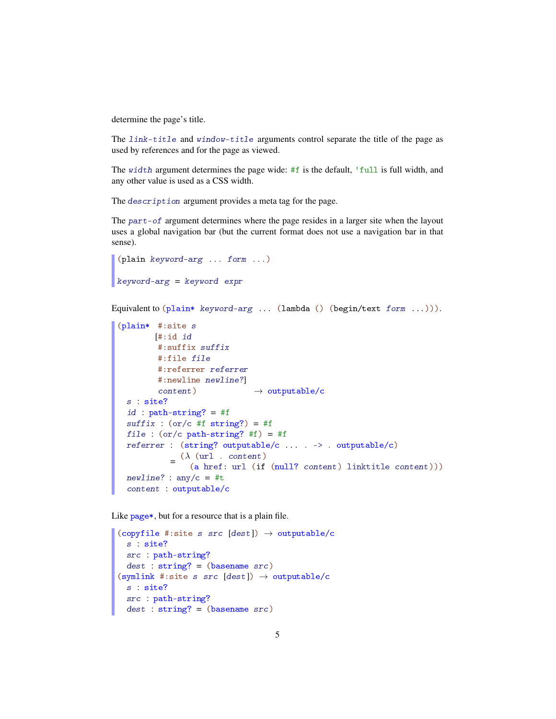determine the page's title.

The link-title and window-title arguments control separate the title of the page as used by references and for the page as viewed.

The width argument determines the page wide: #f is the default, 'full is full width, and any other value is used as a CSS width.

The description argument provides a meta tag for the page.

The part-of argument determines where the page resides in a larger site when the layout uses a global navigation bar (but the current format does not use a navigation bar in that sense).

```
(plain keyword-arg ... form ...)
keyword-arg = keyword expr
```
Equivalent to  $(\text{plain} * \text{ keyword-arg} ... (\text{lambda} () (\text{begin} / \text{test} from ...))).$ 

```
(plain* #:site s
        [#:id id
         #:suffix suffix
         #:file file
         #:referrer referrer
         #:newline newline?]
         content) \rightarrow outputable/cs : site?
 id : path-string? = #f
 suffix : (or/c #f string?) = #ffile : (or/c path-string? #f) = #f
 referrer : (string? outputable/c ... . -> . outputable/c)
            =\frac{(\lambda \text{ (url . content})}{(\lambda \text{ length . run } t)}(a href: url (if (null? content) linktitle content)))
 newline? : any/c = #tcontent : outputable/c
```
Like page\*, but for a resource that is a plain file.

```
(copyfile #:site s src [dest]) \rightarrow outputable/c
 s : site?
  src : path-string?
  dest : string? = (basename src)(symlink #:site s src [dest]) \rightarrow outputable/c
 s : site?
 src : path-string?
 dest : string? = (basename src)
```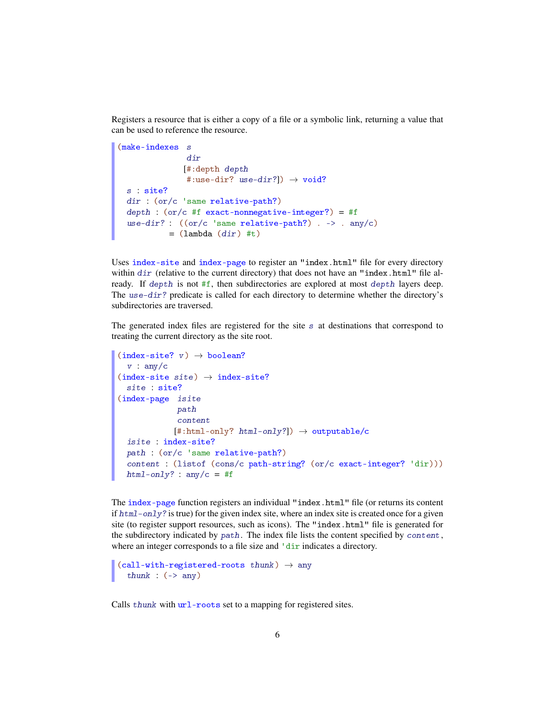Registers a resource that is either a copy of a file or a symbolic link, returning a value that can be used to reference the resource.

```
(make-indexes s
               dir
              [#:depth depth
               #:use-dir? use-dir?]) \rightarrow void?
 s : site?
 dir : (or/c 'same relative-path?)
 depth: (or/c #f exact-nonnegative-integer?) = #fuse-dir? : ((or/c \text{ 'same relative-path?}) . -> . any/c)
           = (lambda dir) #t)
```
Uses index-site and index-page to register an "index.html" file for every directory within  $dir$  (relative to the current directory) that does not have an "index.html" file already. If depth is not #f, then subdirectories are explored at most depth layers deep. The use-dir? predicate is called for each directory to determine whether the directory's subdirectories are traversed.

The generated index files are registered for the site s at destinations that correspond to treating the current directory as the site root.

```
(index-site? v) \rightarrow boolean?v : any/c(index-site site) \rightarrow index-site?site : site?
(index-page isite
              path
             content
             [\text{\#:html-only? <math>html-only?] \rightarrow outputable/c
 isite : index-site?
 path : (or/c 'same relative-path?)
  content : (listof (cons/c path-string? (or/c exact-integer? 'dir)))
 html-only? : any/c = #f
```
The index-page function registers an individual "index.html" file (or returns its content if html-only? is true) for the given index site, where an index site is created once for a given site (to register support resources, such as icons). The "index.html" file is generated for the subdirectory indicated by path. The index file lists the content specified by content, where an integer corresponds to a file size and  $\frac{d}{dx}$  indicates a directory.

```
(call-with-registered-roots thunk) \rightarrow anythunk : (-) any)
```
Calls thunk with url-roots set to a mapping for registered sites.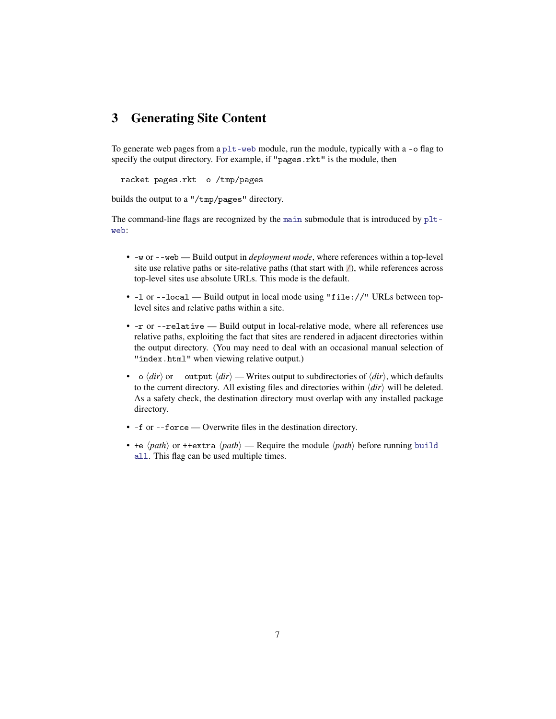### 3 Generating Site Content

To generate web pages from a plt-web module, run the module, typically with a -o flag to specify the output directory. For example, if "pages.rkt" is the module, then

racket pages.rkt -o /tmp/pages

builds the output to a "/tmp/pages" directory.

The command-line flags are recognized by the main submodule that is introduced by pltweb:

- -w or --web Build output in *deployment mode*, where references within a top-level site use relative paths or site-relative paths (that start with  $\mathbb{Z}$ ), while references across top-level sites use absolute URLs. This mode is the default.
- -l or --local Build output in local mode using "file://" URLs between toplevel sites and relative paths within a site.
- -r or --relative Build output in local-relative mode, where all references use relative paths, exploiting the fact that sites are rendered in adjacent directories within the output directory. (You may need to deal with an occasional manual selection of "index.html" when viewing relative output.)
- $\sim$   $\langle$  *dir* $\rangle$  or --output  $\langle$  *dir* $\rangle$  Writes output to subdirectories of  $\langle$  *dir* $\rangle$ , which defaults to the current directory. All existing files and directories within  $\langle \text{dir} \rangle$  will be deleted. As a safety check, the destination directory must overlap with any installed package directory.
- -f or --force Overwrite files in the destination directory.
- +e  $\langle path \rangle$  or ++extra  $\langle path \rangle$  Require the module  $\langle path \rangle$  before running buildall. This flag can be used multiple times.